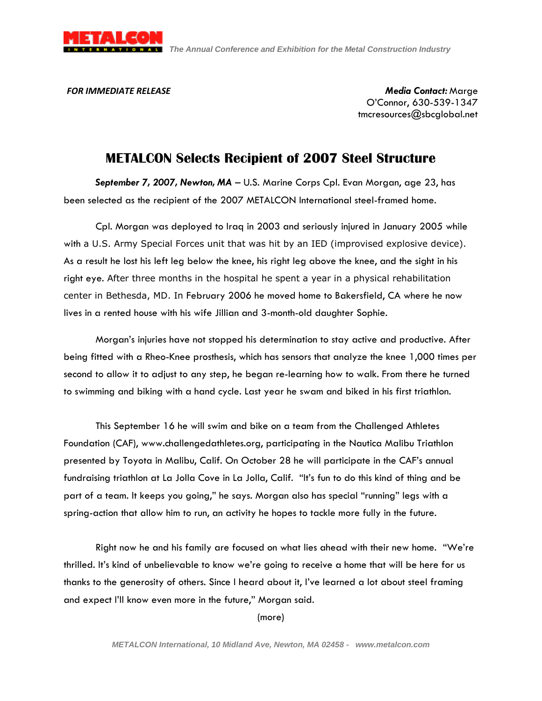

*FOR IMMEDIATE RELEASE Media Contact:* Marge O'Connor, 630-539-1347 tmcresources@sbcglobal.net

## **METALCON Selects Recipient of 2007 Steel Structure**

*September 7, 2007, Newton, MA* – U.S. Marine Corps Cpl. Evan Morgan, age 23, has been selected as the recipient of the 2007 METALCON International steel-framed home.

Cpl. Morgan was deployed to Iraq in 2003 and seriously injured in January 2005 while with a U.S. Army Special Forces unit that was hit by an IED (improvised explosive device). As a result he lost his left leg below the knee, his right leg above the knee, and the sight in his right eye. After three months in the hospital he spent a year in a physical rehabilitation center in Bethesda, MD. In February 2006 he moved home to Bakersfield, CA where he now lives in a rented house with his wife Jillian and 3-month-old daughter Sophie.

Morgan's injuries have not stopped his determination to stay active and productive. After being fitted with a Rheo-Knee prosthesis, which has sensors that analyze the knee 1,000 times per second to allow it to adjust to any step, he began re-learning how to walk. From there he turned to swimming and biking with a hand cycle. Last year he swam and biked in his first triathlon.

This September 16 he will swim and bike on a team from the Challenged Athletes Foundation (CAF), www.challengedathletes.org, participating in the Nautica Malibu Triathlon presented by Toyota in Malibu, Calif. On October 28 he will participate in the CAF's annual fundraising triathlon at La Jolla Cove in La Jolla, Calif. "It's fun to do this kind of thing and be part of a team. It keeps you going," he says. Morgan also has special "running" legs with a spring-action that allow him to run, an activity he hopes to tackle more fully in the future.

Right now he and his family are focused on what lies ahead with their new home. "We're thrilled. It's kind of unbelievable to know we're going to receive a home that will be here for us thanks to the generosity of others. Since I heard about it, I've learned a lot about steel framing and expect I'll know even more in the future," Morgan said.

(more)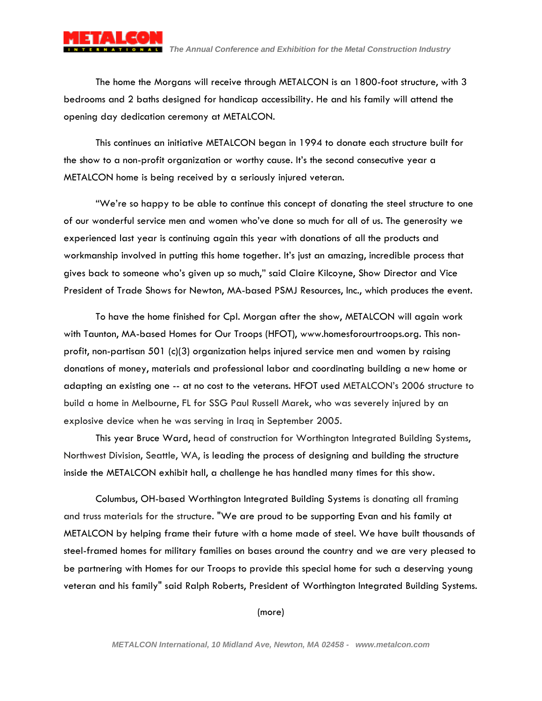

The home the Morgans will receive through METALCON is an 1800-foot structure, with 3 bedrooms and 2 baths designed for handicap accessibility. He and his family will attend the opening day dedication ceremony at METALCON.

This continues an initiative METALCON began in 1994 to donate each structure built for the show to a non-profit organization or worthy cause. It's the second consecutive year a METALCON home is being received by a seriously injured veteran.

"We're so happy to be able to continue this concept of donating the steel structure to one of our wonderful service men and women who've done so much for all of us. The generosity we experienced last year is continuing again this year with donations of all the products and workmanship involved in putting this home together. It's just an amazing, incredible process that gives back to someone who's given up so much," said Claire Kilcoyne, Show Director and Vice President of Trade Shows for Newton, MA-based PSMJ Resources, Inc., which produces the event.

To have the home finished for Cpl. Morgan after the show, METALCON will again work with Taunton, MA-based Homes for Our Troops (HFOT), www.homesforourtroops.org. This nonprofit, non-partisan 501 (c)(3) organization helps injured service men and women by raising donations of money, materials and professional labor and coordinating building a new home or adapting an existing one -- at no cost to the veterans. HFOT used METALCON's 2006 structure to build a home in Melbourne, FL for SSG Paul Russell Marek, who was severely injured by an explosive device when he was serving in Iraq in September 2005.

This year Bruce Ward, head of construction for Worthington Integrated Building Systems, Northwest Division, Seattle, WA, is leading the process of designing and building the structure inside the METALCON exhibit hall, a challenge he has handled many times for this show.

Columbus, OH-based Worthington Integrated Building Systems is donating all framing and truss materials for the structure. "We are proud to be supporting Evan and his family at METALCON by helping frame their future with a home made of steel. We have built thousands of steel-framed homes for military families on bases around the country and we are very pleased to be partnering with Homes for our Troops to provide this special home for such a deserving young veteran and his family" said Ralph Roberts, President of Worthington Integrated Building Systems.

(more)